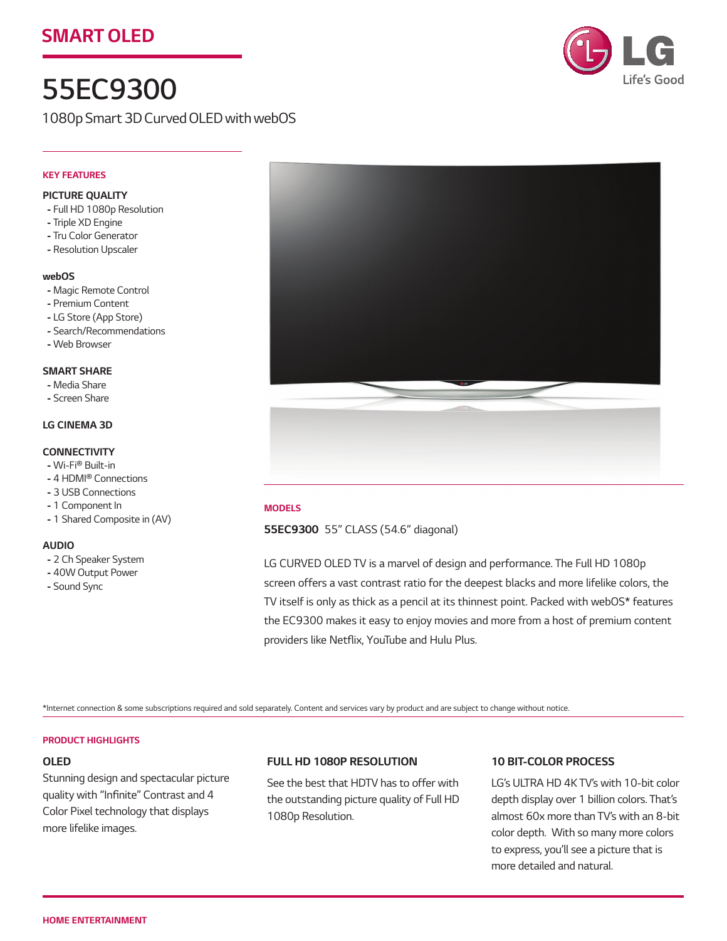# *SMART OLED*



# *55EC9300*

*1080p Smart 3D Curved OLED with webOS*

### *KEY FEATURES*

#### *PIcture Quality*

- *- Full HD 1080p Resolution*
- *- Triple XD Engine*
- *- Tru Color Generator*
- *- Resolution Upscaler*

#### *webOS*

- *- Magic Remote Control*
- *- Premium Content*
- *- LG Store (App Store)*
- *- Search/Recommendations*
- *- Web Browser*

# *SMART SHARE*

- *- Media Share*
- *- Screen Share*

# *LG CINEMA 3D*

### *CONNECTIVITY*

- *- Wi-Fi® Built-in*
- *- 4 HDMI® Connections*
- *- 3 USB Connections*
- *- 1 Component In*
- *- 1 Shared Composite in (AV)*

#### *AUDIO*

- *- 2 Ch Speaker System*
- *- 40W Output Power*
- *- Sound Sync*



# *MODELS*

*55EC9300 55" CLASS (54.6" diagonal)*

LG CURVED OLED TV is a marvel of design and performance. The Full HD 1080p *screen offers a vast contrast ratio for the deepest blacks and more lifelike colors, the TV itself is only as thick as a pencil at its thinnest point. Packed with webOS\* features the EC9300 makes it easy to enjoy movies and more from a host of premium content*  providers like Netflix, YouTube and Hulu Plus.

*\*Internet connection & some subscriptions required and sold separately. Content and services vary by product and are subject to change without notice.*

#### *PRODUCT HIGHLIGHTS*

#### *OLED*

*Stunning design and spectacular picture*  quality with "Infinite" Contrast and 4 Color Pixel technology that displays *more lifelike images.*

## *Full HD 1080p resolution*

*See the best that HDTV has to offer with the outstanding picture quality of Full HD 1080p Resolution.*

### *10 bit-color process*

*LG's ULTRA HD 4K TV's with 10-bit color depth display over 1 billion colors. That's*  almost 60x more than TV's with an 8-bit *color depth. With so many more colors*  to express, you'll see a picture that is *more detailed and natural.*